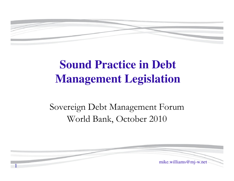

# **Sound Practice in Debt Management Legislation**

#### Sovereign Debt Management ForumWorld Bank, October 2010

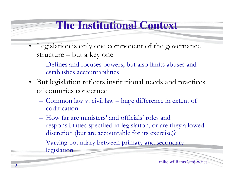### **The Institutional Context**

- Legislation is only one component of the governance structure – but a key one
	- Defines and focuses powers, but also limits abuses and establishes accountabilities
- But legislation reflects institutional needs and practices of countries concerned
	- Common law v. civil law huge difference in extent of codification
	- How far are ministers' and officials' roles and responsibilities specified in legislaiton, or are they allowed discretion (but are accountable for its exercise)?
	- –Varying boundary between primary and secondary legislation

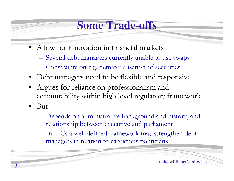#### **Some Trade-offs**

- Allow for innovation in financial markets
	- **Hart Committee Committee** Several debt managers currently unable to use swaps
	- –Constraints on e.g. dematerialisation of securities
- Debt managers need to be flexible and responsive
- Argues for reliance on professionalism and accountability within high level regulatory framework
- • But
	- –Depends on administrative background and history, and relationship between executive and parliament
	- In LICs a well defined framework may strengthen debt managers in relation to capricious politicians

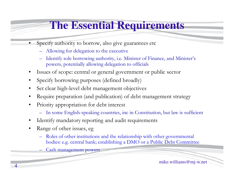## **The Essential Requirements**

- • Specify authority to borrow, also give guarantees etc
	- –Allowing for delegation to the executive
	- – Identify sole borrowing authority, i.e. Minister of Finance, and Minister's powers, potentially allowing delegation to officials
- $\bullet$ Issues of scope: central or general government or public sector
- •Specify borrowing purposes (defined broadly)
- •Set clear high-level debt management objectives
- •Require preparation (and publication) of debt management strategy
- • Priority appropriation for debt interest
	- –In some English-speaking countries, inc in Constitution, but law is sufficient
- •Identify mandatory reporting and audit requirement s
- •Range of other issues, eg

–

4

- Roles of other institutions and the relationship with other governmental<br>hadian a construct hards actablishing a DMO are Dablis Dabt Committee bodies: e.g. central bank; establishing a DMO or a Public Debt Committee
	- Cash management powers

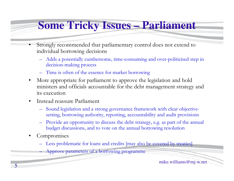## **Some Tricky Issues – Parliament**

- • Strongly recommended that parliamentary control does not extend to individual borrowing decisions
	- –Adds a potentially cumbersome, time-consuming and over-politicised step in decision-making process
	- –Time is often of the essence for market borrowing
- • More appropriate for parliament to approve the legislation and hold ministers and officials accountable for the debt management strategy and its execution
- $\bullet$  Instead reassure Parliament
	- – Sound legislation and a strong governance framework with clear objectivesetting, borrowing authority, reporting, accountability and audit provisions
	- – Provide an opportunity to discuss the debt strategy, e.g. as part of the annual budget discussions, and to vote on the annual borrowing resolution
- •**Compromises**

–

- Less problematic for loans and credits [may also be covered by treaties]
	- Approve parameters of a borrowing programme

mike.williams@mj-w.net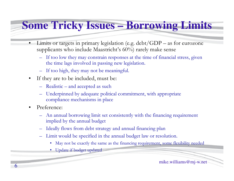#### **Some Tricky Issues – Borrowing Limits**

- • Limits or targets in primary legislation (e.g. debt/GDP – as for eurozone supplicants who include Maastricht's 60%) rarely make sense
	- $-$  If too low they may constrain responses at the time of financial stress, given the time less involved in persiad stress  $\alpha$ the time lags involved in passing new legislation.
	- –If too high, they may not be meaningful.
- $\bullet$  If they are to be included, must be:
	- Realistic and accepted as such
	- Underpinned by adequate political commitment, with appropriate compliance mechanisms in place
- • Preference:
	- – An annual borrowing limit set consistently with the financing requirement implied by the annual budget
	- –Ideally flows from debt strategy and annual financing plan
	- – Limit would be specified in the annual budget law or resolution.
		- May not be exactly the same as the financing requirement, some flexibility needed
		- Update if budget updated

mike.williams@mj-w.net